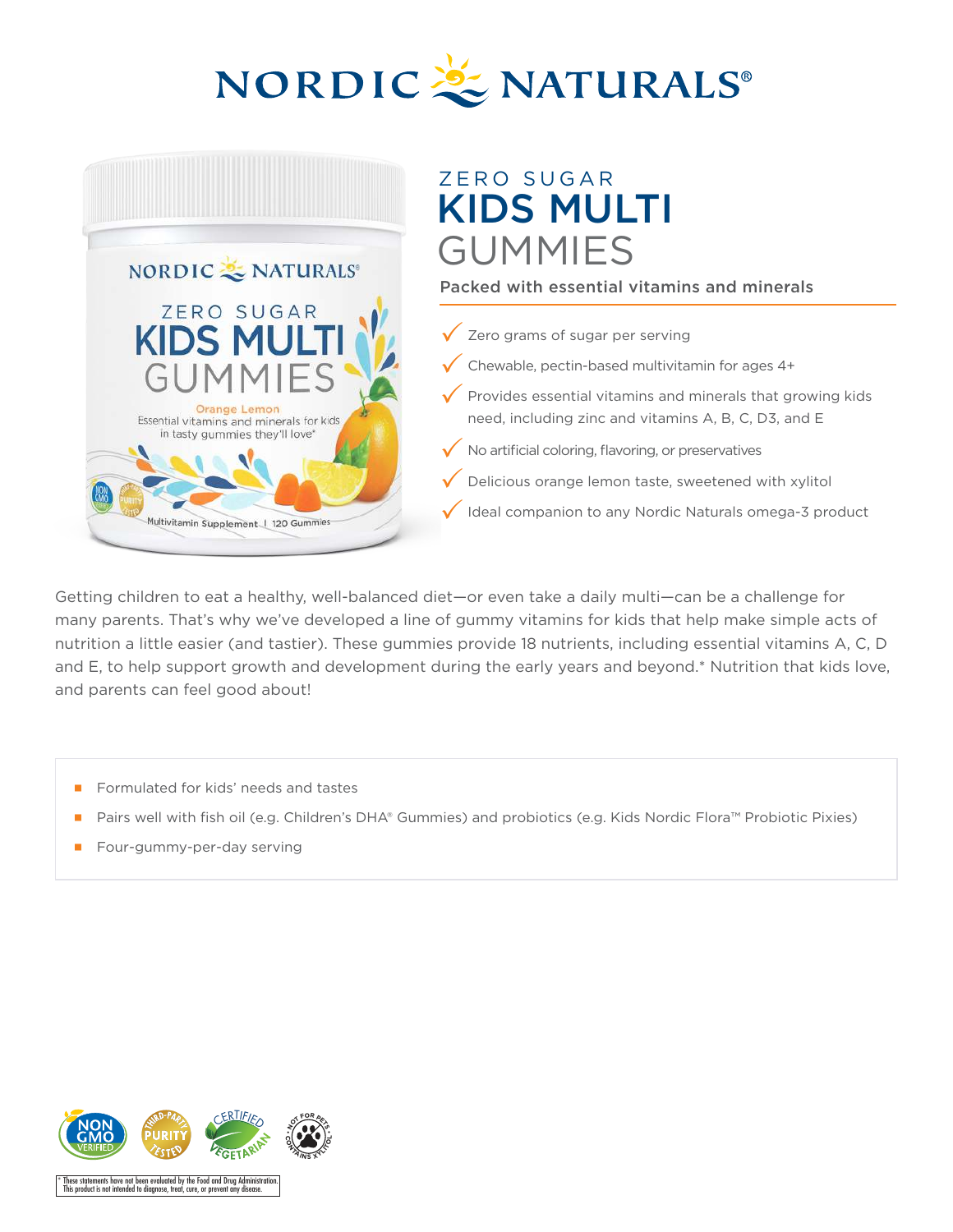



# ZERO SUGAR KIDS MULTI GUMMIES

## Packed with essential vitamins and minerals

- Zero grams of sugar per serving
- Chewable, pectin-based multivitamin for ages 4+
- Provides essential vitamins and minerals that growing kids need, including zinc and vitamins A, B, C, D3, and E
- No artificial coloring, flavoring, or preservatives
- Delicious orange lemon taste, sweetened with xylitol
- Ideal companion to any Nordic Naturals omega-3 product

Getting children to eat a healthy, well-balanced diet—or even take a daily multi—can be a challenge for many parents. That's why we've developed a line of gummy vitamins for kids that help make simple acts of nutrition a little easier (and tastier). These gummies provide 18 nutrients, including essential vitamins A, C, D and E, to help support growth and development during the early years and beyond.\* Nutrition that kids love, and parents can feel good about!

- Formulated for kids' needs and tastes
- Pairs well with fish oil (e.g. Children's DHA® Gummies) and probiotics (e.g. Kids Nordic Flora™ Probiotic Pixies)
- Four-gummy-per-day serving